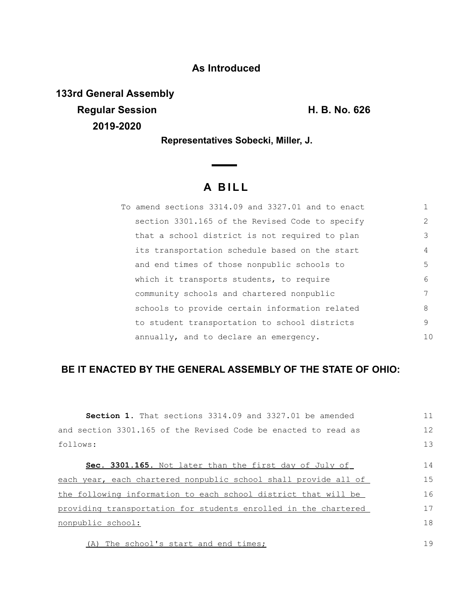## **As Introduced**

**133rd General Assembly Regular Session H. B. No. 626 2019-2020**

19

**Representatives Sobecki, Miller, J.**

## **A B I L L**

| To amend sections 3314.09 and 3327.01 and to enact |    |
|----------------------------------------------------|----|
| section 3301.165 of the Revised Code to specify    | 2  |
| that a school district is not required to plan     | 3  |
| its transportation schedule based on the start     | 4  |
| and end times of those nonpublic schools to        | 5. |
| which it transports students, to require           | 6  |
| community schools and chartered nonpublic          | 7  |
| schools to provide certain information related     | 8  |
| to student transportation to school districts      | 9  |
| annually, and to declare an emergency.             | 10 |

## **BE IT ENACTED BY THE GENERAL ASSEMBLY OF THE STATE OF OHIO:**

| <b>Section 1.</b> That sections 3314.09 and 3327.01 be amended  | 11 |
|-----------------------------------------------------------------|----|
| and section 3301.165 of the Revised Code be enacted to read as  | 12 |
| follows:                                                        | 13 |
| Sec. 3301.165. Not later than the first day of July of          | 14 |
| each year, each chartered nonpublic school shall provide all of | 15 |
| the following information to each school district that will be  | 16 |
| providing transportation for students enrolled in the chartered | 17 |
| nonpublic school:                                               | 18 |
|                                                                 |    |

(A) The school's start and end times;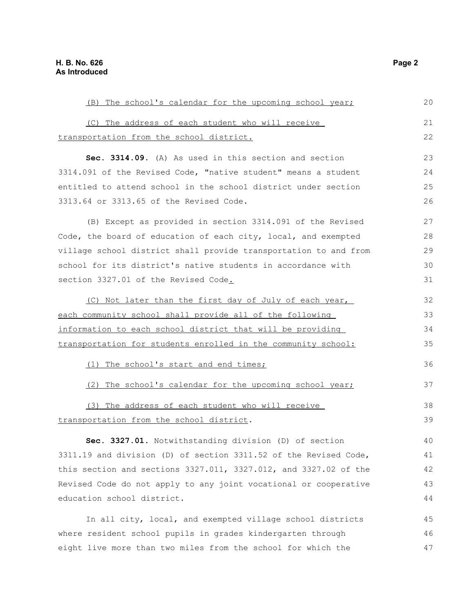| (B) The school's calendar for the upcoming school year;                  |  |
|--------------------------------------------------------------------------|--|
| (C) The address of each student who will receive                         |  |
| transportation from the school district.                                 |  |
| Sec. 3314.09. (A) As used in this section and section                    |  |
| 3314.091 of the Revised Code, "native student" means a student           |  |
| entitled to attend school in the school district under section           |  |
| 3313.64 or 3313.65 of the Revised Code.                                  |  |
| (B) Except as provided in section 3314.091 of the Revised                |  |
| Code, the board of education of each city, local, and exempted           |  |
| village school district shall provide transportation to and from         |  |
| school for its district's native students in accordance with             |  |
| section 3327.01 of the Revised Code.                                     |  |
| (C) Not later than the first day of July of each year,                   |  |
| each community school shall provide all of the following                 |  |
| information to each school district that will be providing               |  |
| transportation for students enrolled in the community school:            |  |
| (1) The school's start and end times;                                    |  |
| (2) The school's calendar for the upcoming school year;                  |  |
| (3) The address of each student who will receive                         |  |
| transportation from the school district.                                 |  |
| Sec. 3327.01. Notwithstanding division (D) of section                    |  |
| 3311.19 and division (D) of section 3311.52 of the Revised Code,         |  |
| this section and sections $3327.011$ , $3327.012$ , and $3327.02$ of the |  |
| Revised Code do not apply to any joint vocational or cooperative         |  |
| education school district.                                               |  |
|                                                                          |  |
| In all city, local, and exempted village school districts                |  |
| where resident school pupils in grades kindergarten through              |  |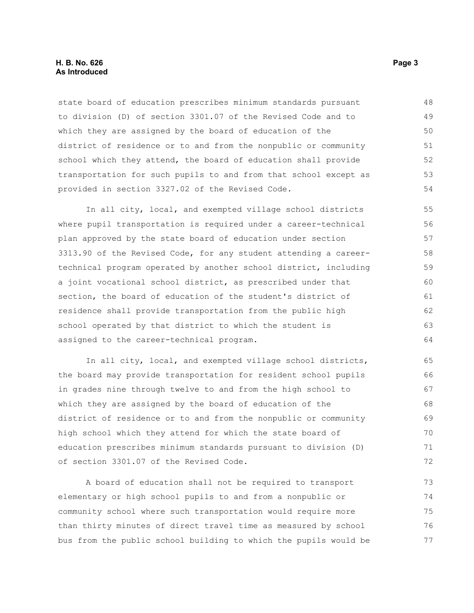## **H. B. No. 626 Page 3 As Introduced**

state board of education prescribes minimum standards pursuant to division (D) of section 3301.07 of the Revised Code and to which they are assigned by the board of education of the district of residence or to and from the nonpublic or community school which they attend, the board of education shall provide transportation for such pupils to and from that school except as provided in section 3327.02 of the Revised Code. 48 49 50 51 52 53 54

In all city, local, and exempted village school districts where pupil transportation is required under a career-technical plan approved by the state board of education under section 3313.90 of the Revised Code, for any student attending a careertechnical program operated by another school district, including a joint vocational school district, as prescribed under that section, the board of education of the student's district of residence shall provide transportation from the public high school operated by that district to which the student is assigned to the career-technical program. 55 56 57 58 59 60 61 62 63 64

In all city, local, and exempted village school districts, the board may provide transportation for resident school pupils in grades nine through twelve to and from the high school to which they are assigned by the board of education of the district of residence or to and from the nonpublic or community high school which they attend for which the state board of education prescribes minimum standards pursuant to division (D) of section 3301.07 of the Revised Code. 65 66 67 68 69 70 71 72

A board of education shall not be required to transport elementary or high school pupils to and from a nonpublic or community school where such transportation would require more than thirty minutes of direct travel time as measured by school bus from the public school building to which the pupils would be 73 74 75 76 77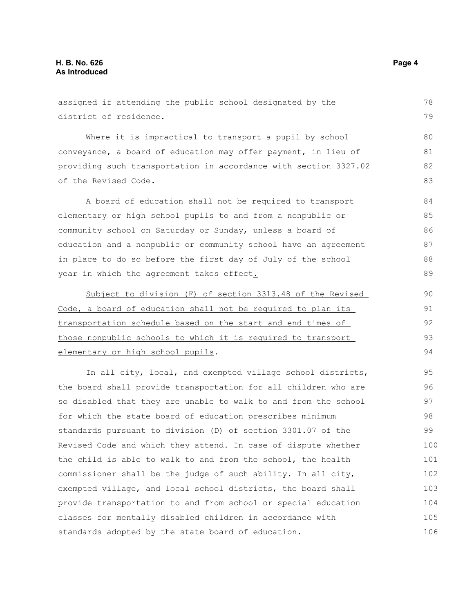assigned if attending the public school designated by the district of residence. Where it is impractical to transport a pupil by school conveyance, a board of education may offer payment, in lieu of providing such transportation in accordance with section 3327.02 of the Revised Code. A board of education shall not be required to transport elementary or high school pupils to and from a nonpublic or community school on Saturday or Sunday, unless a board of education and a nonpublic or community school have an agreement in place to do so before the first day of July of the school year in which the agreement takes effect. Subject to division (F) of section 3313.48 of the Revised Code, a board of education shall not be required to plan its transportation schedule based on the start and end times of those nonpublic schools to which it is required to transport elementary or high school pupils. In all city, local, and exempted village school districts, the board shall provide transportation for all children who are so disabled that they are unable to walk to and from the school for which the state board of education prescribes minimum standards pursuant to division (D) of section 3301.07 of the Revised Code and which they attend. In case of dispute whether the child is able to walk to and from the school, the health commissioner shall be the judge of such ability. In all city, exempted village, and local school districts, the board shall provide transportation to and from school or special education classes for mentally disabled children in accordance with 78 79 80 81 82 83 84 85 86 87 88 89 90 91 92 93 94 95 96 97 98 99 100 101 102 103 104 105

standards adopted by the state board of education.

106